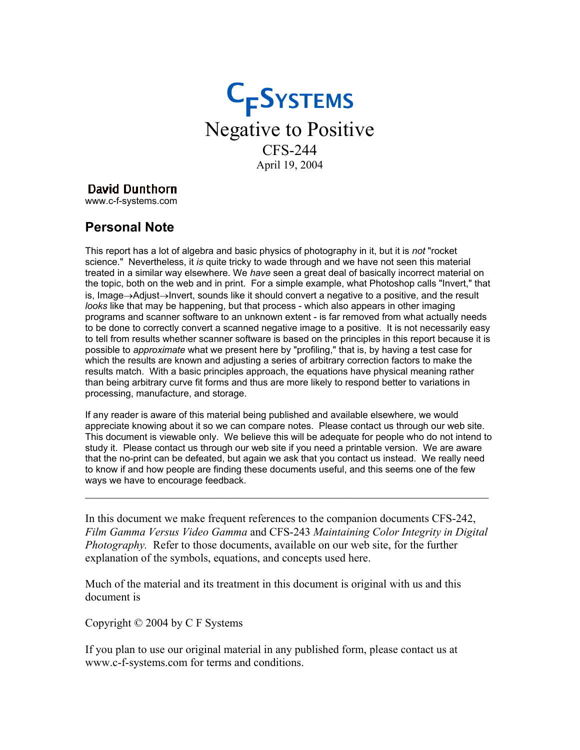

### David Dunthorn

www.c-f-systems.com

# **Personal Note**

This report has a lot of algebra and basic physics of photography in it, but it is *not* "rocket science." Nevertheless, it *is* quite tricky to wade through and we have not seen this material treated in a similar way elsewhere. We *have* seen a great deal of basically incorrect material on the topic, both on the web and in print. For a simple example, what Photoshop calls "Invert," that is, Image→Adjust→Invert, sounds like it should convert a negative to a positive, and the result *looks* like that may be happening, but that process - which also appears in other imaging programs and scanner software to an unknown extent - is far removed from what actually needs to be done to correctly convert a scanned negative image to a positive. It is not necessarily easy to tell from results whether scanner software is based on the principles in this report because it is possible to *approximate* what we present here by "profiling," that is, by having a test case for which the results are known and adjusting a series of arbitrary correction factors to make the results match. With a basic principles approach, the equations have physical meaning rather than being arbitrary curve fit forms and thus are more likely to respond better to variations in processing, manufacture, and storage.

If any reader is aware of this material being published and available elsewhere, we would appreciate knowing about it so we can compare notes. Please contact us through our web site. This document is viewable only. We believe this will be adequate for people who do not intend to study it. Please contact us through our web site if you need a printable version. We are aware that the no-print can be defeated, but again we ask that you contact us instead. We really need to know if and how people are finding these documents useful, and this seems one of the few ways we have to encourage feedback.

In this document we make frequent references to the companion documents CFS-242, *Film Gamma Versus Video Gamma* and CFS-243 *Maintaining Color Integrity in Digital Photography.* Refer to those documents, available on our web site, for the further explanation of the symbols, equations, and concepts used here.

 $\mathcal{L}_\text{max} = \mathcal{L}_\text{max} = \mathcal{L}_\text{max} = \mathcal{L}_\text{max} = \mathcal{L}_\text{max} = \mathcal{L}_\text{max} = \mathcal{L}_\text{max} = \mathcal{L}_\text{max} = \mathcal{L}_\text{max} = \mathcal{L}_\text{max} = \mathcal{L}_\text{max} = \mathcal{L}_\text{max} = \mathcal{L}_\text{max} = \mathcal{L}_\text{max} = \mathcal{L}_\text{max} = \mathcal{L}_\text{max} = \mathcal{L}_\text{max} = \mathcal{L}_\text{max} = \mathcal{$ 

Much of the material and its treatment in this document is original with us and this document is

Copyright © 2004 by C F Systems

If you plan to use our original material in any published form, please contact us at www.c-f-systems.com for terms and conditions.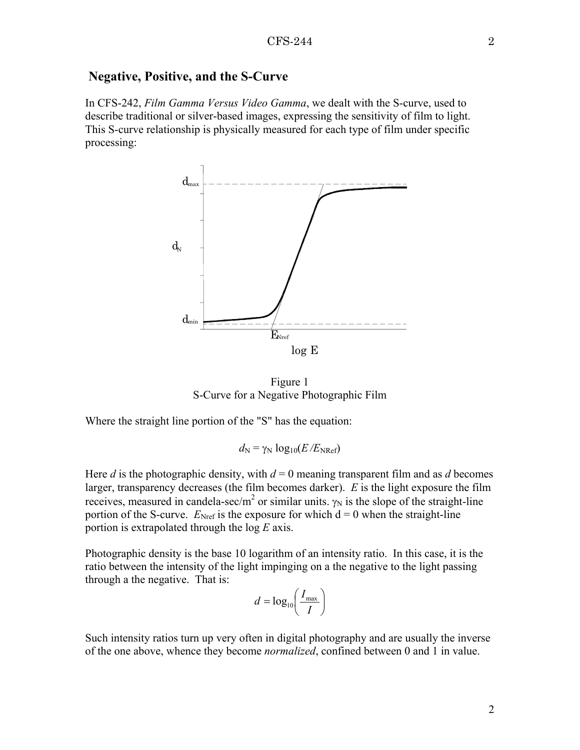### **Negative, Positive, and the S-Curve**

In CFS-242, *Film Gamma Versus Video Gamma*, we dealt with the S-curve, used to describe traditional or silver-based images, expressing the sensitivity of film to light. This S-curve relationship is physically measured for each type of film under specific processing:



Figure 1 S-Curve for a Negative Photographic Film

Where the straight line portion of the "S" has the equation:

 $d_N = \gamma_N \log_{10}(E/E_{NRef})$ 

Here *d* is the photographic density, with  $d = 0$  meaning transparent film and as *d* becomes larger, transparency decreases (the film becomes darker). *E* is the light exposure the film receives, measured in candela-sec/m<sup>2</sup> or similar units.  $\gamma_N$  is the slope of the straight-line portion of the S-curve.  $E_{Nref}$  is the exposure for which  $d = 0$  when the straight-line portion is extrapolated through the log *E* axis.

Photographic density is the base 10 logarithm of an intensity ratio. In this case, it is the ratio between the intensity of the light impinging on a the negative to the light passing through a the negative. That is:

$$
d = \log_{10}\left(\frac{I_{\text{max}}}{I}\right)
$$

Such intensity ratios turn up very often in digital photography and are usually the inverse of the one above, whence they become *normalized*, confined between 0 and 1 in value.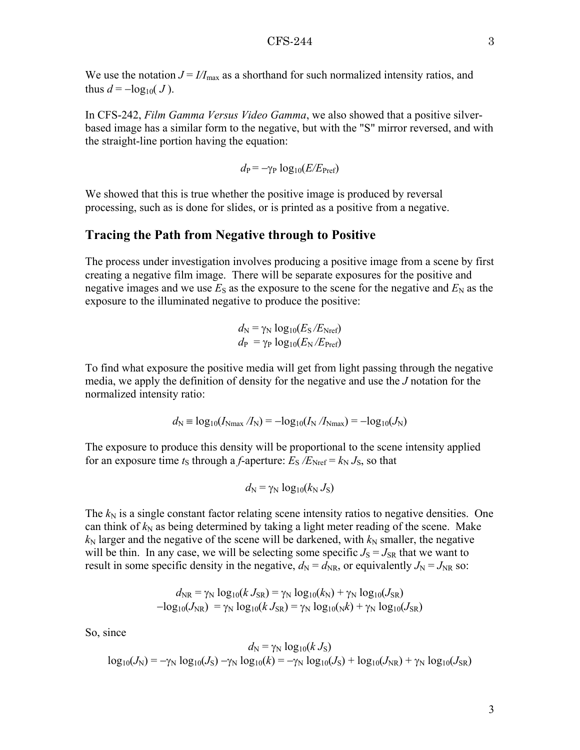We use the notation  $J = I/I_{\text{max}}$  as a shorthand for such normalized intensity ratios, and thus  $d = -\log_{10}(J)$ .

In CFS-242, *Film Gamma Versus Video Gamma*, we also showed that a positive silverbased image has a similar form to the negative, but with the "S" mirror reversed, and with the straight-line portion having the equation:

$$
d_P = -\gamma_P \log_{10}(E/E_{\text{Pref}})
$$

We showed that this is true whether the positive image is produced by reversal processing, such as is done for slides, or is printed as a positive from a negative.

#### **Tracing the Path from Negative through to Positive**

The process under investigation involves producing a positive image from a scene by first creating a negative film image. There will be separate exposures for the positive and negative images and we use  $E<sub>S</sub>$  as the exposure to the scene for the negative and  $E<sub>N</sub>$  as the exposure to the illuminated negative to produce the positive:

$$
d_{\rm N} = \gamma_{\rm N} \log_{10}(E_{\rm S}/E_{\rm Nref})
$$
  

$$
d_{\rm P} = \gamma_{\rm P} \log_{10}(E_{\rm N}/E_{\rm Pref})
$$

To find what exposure the positive media will get from light passing through the negative media, we apply the definition of density for the negative and use the *J* notation for the normalized intensity ratio:

$$
d_N \equiv \log_{10}(I_{Nmax}/I_N) = -\log_{10}(I_N/I_{Nmax}) = -\log_{10}(J_N)
$$

The exposure to produce this density will be proportional to the scene intensity applied for an exposure time  $t_S$  through a *f*-aperture:  $E_S/E_{Nref} = k_N J_S$ , so that

$$
d_N = \gamma_N \log_{10}(k_N J_S)
$$

The  $k_N$  is a single constant factor relating scene intensity ratios to negative densities. One can think of  $k_N$  as being determined by taking a light meter reading of the scene. Make  $k_N$  larger and the negative of the scene will be darkened, with  $k_N$  smaller, the negative will be thin. In any case, we will be selecting some specific  $J_s = J_{SR}$  that we want to result in some specific density in the negative,  $d_N = d_{NR}$ , or equivalently  $J_N = J_{NR}$  so:

$$
d_{\rm NR} = \gamma_{\rm N} \log_{10}(k \, J_{\rm SR}) = \gamma_{\rm N} \log_{10}(k_{\rm N}) + \gamma_{\rm N} \log_{10}(J_{\rm SR})
$$
  
-log<sub>10</sub>( $J_{\rm NR}$ ) =  $\gamma_{\rm N} \log_{10}(k \, J_{\rm SR}) = \gamma_{\rm N} \log_{10}(\kappa k) + \gamma_{\rm N} \log_{10}(J_{\rm SR})$ 

So, since

$$
d_{N} = \gamma_{N} \log_{10}(k \, J_{S})
$$
  

$$
\log_{10}(J_{N}) = -\gamma_{N} \log_{10}(J_{S}) - \gamma_{N} \log_{10}(k) = -\gamma_{N} \log_{10}(J_{S}) + \log_{10}(J_{NR}) + \gamma_{N} \log_{10}(J_{SR})
$$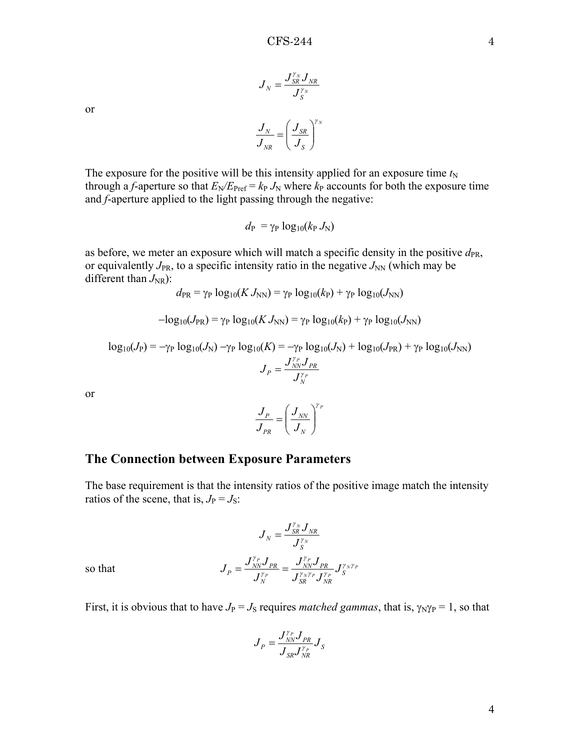$$
\pmb{J}_N=\frac{\pmb{J}_{\mathit{SR}}^{\gamma_N}\pmb{J}_{\mathit{NR}}}{\pmb{J}_{\mathit{S}}^{\gamma_N}}
$$

or

$$
\frac{J_{\scriptscriptstyle N}}{J_{\scriptscriptstyle NR}}\!=\!\!\left(\frac{J_{\scriptscriptstyle SR}}{J_{\scriptscriptstyle S}}\right)^{\!\!\gamma_{\scriptscriptstyle N}}
$$

The exposure for the positive will be this intensity applied for an exposure time  $t_N$ through a *f*-aperture so that  $E_N/E_{\text{Pref}} = k_P J_N$  where  $k_P$  accounts for both the exposure time and *f*-aperture applied to the light passing through the negative:

 $d_P = \gamma_P \log_{10}(k_P J_N)$ 

as before, we meter an exposure which will match a specific density in the positive  $d_{PR}$ , or equivalently  $J_{PR}$ , to a specific intensity ratio in the negative  $J_{NN}$  (which may be different than  $J_{\text{NR}}$ ):  $dV = (V I) - \nu \log(L) + \nu \log(L)$ 

$$
d_{PR} = \gamma_P \log_{10}(K J_{NN}) = \gamma_P \log_{10}(k_P) + \gamma_P \log_{10}(J_{NN})
$$
  
-log<sub>10</sub>( $J_{PR}$ ) =  $\gamma_P \log_{10}(K J_{NN}) = \gamma_P \log_{10}(k_P) + \gamma_P \log_{10}(J_{NN})$ 

$$
log_{10}(J_{P}) = -\gamma_{P} log_{10}(J_{N}) - \gamma_{P} log_{10}(K) = -\gamma_{P} log_{10}(J_{N}) + log_{10}(J_{PR}) + \gamma_{P} log_{10}(J_{NN})
$$

$$
J_{P} = \frac{J_{NN}^{\gamma_{P}} J_{PR}}{J_{N}^{\gamma_{P}}}
$$

or

$$
\frac{J_P}{J_{PR}} = \left(\frac{J_{NN}}{J_N}\right)^{\gamma_P}
$$

### **The Connection between Exposure Parameters**

The base requirement is that the intensity ratios of the positive image match the intensity ratios of the scene, that is,  $J_P = J_S$ :

$$
J_N = \frac{J_{SR}^{y_N} J_{NR}}{J_S^{y_N}}
$$
  
so that 
$$
J_P = \frac{J_{NN}^{y_P} J_{PR}}{J_N^{y_P}} = \frac{J_{NN}^{y_P} J_{PR}}{J_{SR}^{y_N y_P} J_{NR}^{y_P}} J_S^{y_N y_P}
$$

First, it is obvious that to have  $J_P = J_S$  requires *matched gammas*, that is,  $\gamma_N \gamma_P = 1$ , so that

$$
\boldsymbol{J}_{P}=\frac{\boldsymbol{J}_{\boldsymbol{N}\boldsymbol{N}}^{\boldsymbol{\gamma}_{P}}\boldsymbol{J}_{\boldsymbol{P}\boldsymbol{R}}}{\boldsymbol{J}_{\boldsymbol{S}\boldsymbol{R}}\boldsymbol{J}_{\boldsymbol{N}\boldsymbol{R}}^{\boldsymbol{\gamma}_{P}}}\boldsymbol{J}_{\boldsymbol{S}}
$$

4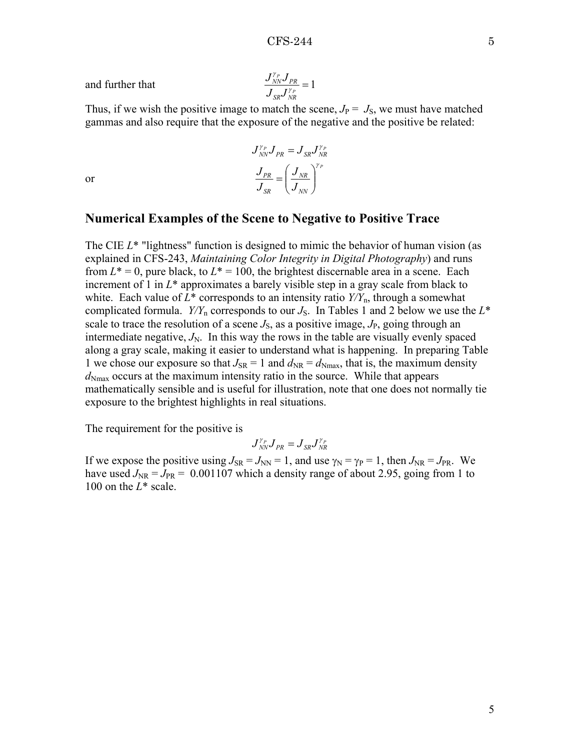and further that  $\frac{6 \text{ NN}}{P} = 1$ 

$$
{J^{\gamma_P}_{N\!N}J_{PR}\over J_{SR}J^{\gamma_P}_{NR}}=
$$

Thus, if we wish the positive image to match the scene,  $J_P = J_S$ , we must have matched gammas and also require that the exposure of the negative and the positive be related:

$$
J_{NN}^{\gamma_P} J_{PR} = J_{SR} J_{NR}^{\gamma_P}
$$
 or 
$$
\frac{J_{PR}}{J_{SR}} = \left(\frac{J_{NR}}{J_{NN}}\right)^{\gamma_P}
$$

### **Numerical Examples of the Scene to Negative to Positive Trace**

The CIE *L*\* "lightness" function is designed to mimic the behavior of human vision (as explained in CFS-243, *Maintaining Color Integrity in Digital Photography*) and runs from  $L^* = 0$ , pure black, to  $L^* = 100$ , the brightest discernable area in a scene. Each increment of 1 in *L*\* approximates a barely visible step in a gray scale from black to white. Each value of  $L^*$  corresponds to an intensity ratio  $Y/Y_n$ , through a somewhat complicated formula. *Y/Y*<sub>n</sub> corresponds to our  $J<sub>S</sub>$ . In Tables 1 and 2 below we use the  $L^*$ scale to trace the resolution of a scene  $J<sub>S</sub>$ , as a positive image,  $J<sub>P</sub>$ , going through an intermediate negative,  $J_N$ . In this way the rows in the table are visually evenly spaced along a gray scale, making it easier to understand what is happening. In preparing Table 1 we chose our exposure so that  $J_{SR} = 1$  and  $d_{NR} = d_{Nmax}$ , that is, the maximum density  $d_{N_{\text{max}}}$  occurs at the maximum intensity ratio in the source. While that appears mathematically sensible and is useful for illustration, note that one does not normally tie exposure to the brightest highlights in real situations.

The requirement for the positive is

$$
{J}^{\gamma}_{{\scriptscriptstyle N\!N\!N}} {J}^{}_{\scriptscriptstyle PR} = {J}^{}_{\scriptscriptstyle SR} {J}^{\gamma}_{{\scriptscriptstyle N\!R}}
$$

If we expose the positive using  $J_{SR} = J_{NN} = 1$ , and use  $\gamma_N = \gamma_P = 1$ , then  $J_{NR} = J_{PR}$ . We have used  $J_{\text{NR}} = J_{\text{PR}} = 0.001107$  which a density range of about 2.95, going from 1 to 100 on the *L*\* scale.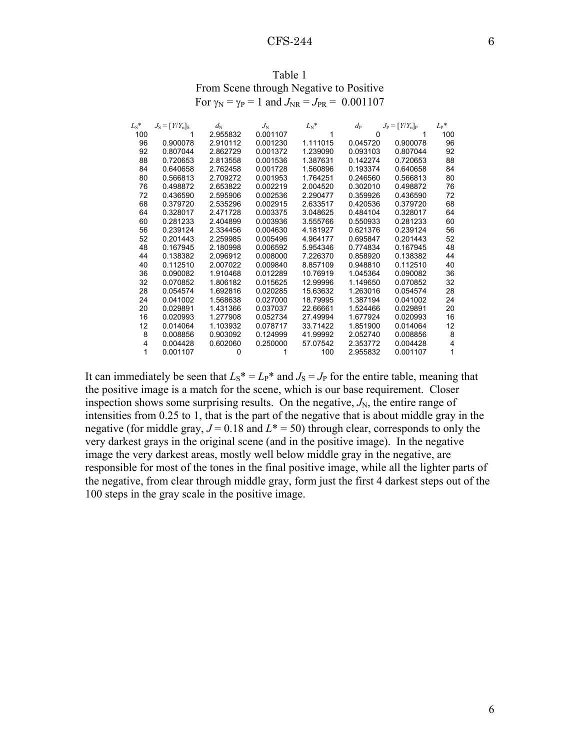| Table 1                                                        |
|----------------------------------------------------------------|
| From Scene through Negative to Positive                        |
| For $\gamma_N = \gamma_P = 1$ and $J_{NR} = J_{PR} = 0.001107$ |

| $L_{\rm S}$ * | $J_{\rm S} = [Y/Y_{\rm n}]_{\rm S}$ | $d_N$    | $J_{\rm N}$ | $L_{\rm N}$ * | $d_{\rm P}$ | $J_{\rm P} = [Y/Y_{\rm n}]_{\rm P}$ | $L_{\rm P}$ * |
|---------------|-------------------------------------|----------|-------------|---------------|-------------|-------------------------------------|---------------|
| 100           |                                     | 2.955832 | 0.001107    |               | 0           |                                     | 100           |
| 96            | 0.900078                            | 2.910112 | 0.001230    | 1.111015      | 0.045720    | 0.900078                            | 96            |
| 92            | 0.807044                            | 2.862729 | 0.001372    | 1.239090      | 0.093103    | 0.807044                            | 92            |
| 88            | 0.720653                            | 2.813558 | 0.001536    | 1.387631      | 0 142274    | 0.720653                            | 88            |
| 84            | 0.640658                            | 2.762458 | 0.001728    | 1.560896      | 0.193374    | 0.640658                            | 84            |
| 80            | 0.566813                            | 2.709272 | 0.001953    | 1.764251      | 0.246560    | 0.566813                            | 80            |
| 76            | 0.498872                            | 2.653822 | 0.002219    | 2.004520      | 0.302010    | 0.498872                            | 76            |
| 72            | 0.436590                            | 2.595906 | 0.002536    | 2.290477      | 0.359926    | 0.436590                            | 72            |
| 68            | 0.379720                            | 2.535296 | 0.002915    | 2.633517      | 0.420536    | 0.379720                            | 68            |
| 64            | 0.328017                            | 2.471728 | 0.003375    | 3.048625      | 0.484104    | 0.328017                            | 64            |
| 60            | 0.281233                            | 2.404899 | 0.003936    | 3.555766      | 0.550933    | 0.281233                            | 60            |
| 56            | 0.239124                            | 2.334456 | 0.004630    | 4.181927      | 0.621376    | 0.239124                            | 56            |
| 52            | 0.201443                            | 2.259985 | 0.005496    | 4.964177      | 0.695847    | 0.201443                            | 52            |
| 48            | 0.167945                            | 2.180998 | 0.006592    | 5.954346      | 0.774834    | 0.167945                            | 48            |
| 44            | 0.138382                            | 2.096912 | 0.008000    | 7.226370      | 0.858920    | 0.138382                            | 44            |
| 40            | 0.112510                            | 2.007022 | 0.009840    | 8.857109      | 0.948810    | 0.112510                            | 40            |
| 36            | 0.090082                            | 1.910468 | 0.012289    | 10.76919      | 1.045364    | 0.090082                            | 36            |
| 32            | 0.070852                            | 1.806182 | 0.015625    | 12.99996      | 1.149650    | 0.070852                            | 32            |
| 28            | 0.054574                            | 1.692816 | 0.020285    | 15.63632      | 1.263016    | 0.054574                            | 28            |
| 24            | 0.041002                            | 1.568638 | 0.027000    | 18.79995      | 1 387194    | 0.041002                            | 24            |
| 20            | 0.029891                            | 1.431366 | 0.037037    | 22.66661      | 1.524466    | 0.029891                            | 20            |
| 16            | 0.020993                            | 1.277908 | 0.052734    | 27.49994      | 1.677924    | 0.020993                            | 16            |
| 12            | 0.014064                            | 1.103932 | 0.078717    | 33.71422      | 1.851900    | 0.014064                            | 12            |
| 8             | 0.008856                            | 0.903092 | 0.124999    | 41.99992      | 2.052740    | 0.008856                            | 8             |
| 4             | 0.004428                            | 0.602060 | 0.250000    | 57.07542      | 2.353772    | 0.004428                            | 4             |
| 1             | 0.001107                            | 0        |             | 100           | 2.955832    | 0.001107                            | 1             |

It can immediately be seen that  $L_S^* = L_P^*$  and  $J_S = J_P$  for the entire table, meaning that the positive image is a match for the scene, which is our base requirement. Closer inspection shows some surprising results. On the negative,  $J_N$ , the entire range of intensities from 0.25 to 1, that is the part of the negative that is about middle gray in the negative (for middle gray,  $J = 0.18$  and  $L^* = 50$ ) through clear, corresponds to only the very darkest grays in the original scene (and in the positive image). In the negative image the very darkest areas, mostly well below middle gray in the negative, are responsible for most of the tones in the final positive image, while all the lighter parts of the negative, from clear through middle gray, form just the first 4 darkest steps out of the 100 steps in the gray scale in the positive image.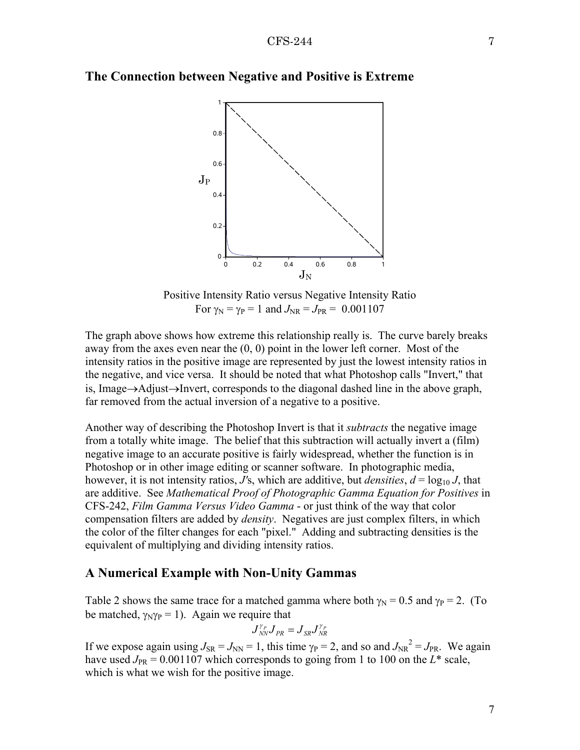

#### **The Connection between Negative and Positive is Extreme**

Positive Intensity Ratio versus Negative Intensity Ratio For  $\gamma_N = \gamma_P = 1$  and  $J_{NR} = J_{PR} = 0.001107$ 

The graph above shows how extreme this relationship really is. The curve barely breaks away from the axes even near the  $(0, 0)$  point in the lower left corner. Most of the intensity ratios in the positive image are represented by just the lowest intensity ratios in the negative, and vice versa. It should be noted that what Photoshop calls "Invert," that is, Image→Adjust→Invert, corresponds to the diagonal dashed line in the above graph, far removed from the actual inversion of a negative to a positive.

Another way of describing the Photoshop Invert is that it *subtracts* the negative image from a totally white image. The belief that this subtraction will actually invert a (film) negative image to an accurate positive is fairly widespread, whether the function is in Photoshop or in other image editing or scanner software. In photographic media, however, it is not intensity ratios, *J's*, which are additive, but *densities*,  $d = \log_{10} J$ , that are additive. See *Mathematical Proof of Photographic Gamma Equation for Positives* in CFS-242, *Film Gamma Versus Video Gamma* - or just think of the way that color compensation filters are added by *density*. Negatives are just complex filters, in which the color of the filter changes for each "pixel." Adding and subtracting densities is the equivalent of multiplying and dividing intensity ratios.

#### **A Numerical Example with Non-Unity Gammas**

Table 2 shows the same trace for a matched gamma where both  $\gamma_N = 0.5$  and  $\gamma_P = 2$ . (To be matched,  $\gamma_N \gamma_P = 1$ ). Again we require that

$$
{J}^{\gamma_P}_{N\!N}{J}^{}_{PR}= {J}^{}_{SR} {J}^{\gamma_P}_{NR}
$$

If we expose again using  $J_{SR} = J_{NN} = 1$ , this time  $\gamma_P = 2$ , and so and  $J_{NR}^2 = J_{PR}$ . We again have used  $J_{PR} = 0.001107$  which corresponds to going from 1 to 100 on the  $L^*$  scale, which is what we wish for the positive image.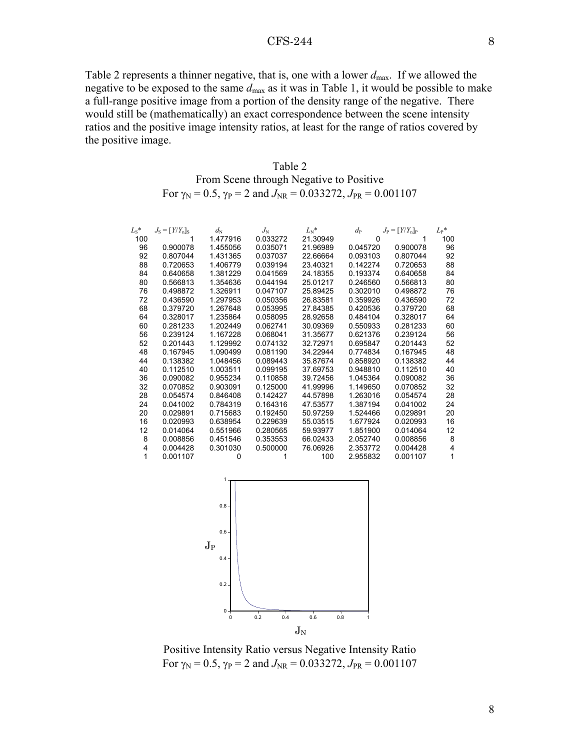#### CFS-244 8

Table 2 represents a thinner negative, that is, one with a lower  $d_{\text{max}}$ . If we allowed the negative to be exposed to the same  $d_{\text{max}}$  as it was in Table 1, it would be possible to make a full-range positive image from a portion of the density range of the negative. There would still be (mathematically) an exact correspondence between the scene intensity ratios and the positive image intensity ratios, at least for the range of ratios covered by the positive image.

| Table 2                                                                                               |
|-------------------------------------------------------------------------------------------------------|
| From Scene through Negative to Positive                                                               |
| For $\gamma_{\rm N}$ = 0.5, $\gamma_{\rm P}$ = 2 and $J_{\rm NR}$ = 0.033272, $J_{\rm PR}$ = 0.001107 |

| $L_{\rm S}$ * | $J_{\rm S} = \left[ \frac{Y}{Y_{\rm n}} \right]_{\rm S}$ | $d_{\rm N}$ | $J_{\rm N}$ | $L_{\rm N}$ * | $d_{\rm P}$ | $J_{\rm P} = [Y/Y_{\rm n}]_{\rm P}$ | $L_{\rm P}$ * |
|---------------|----------------------------------------------------------|-------------|-------------|---------------|-------------|-------------------------------------|---------------|
| 100           |                                                          | 1.477916    | 0.033272    | 21.30949      | O           |                                     | 100           |
| 96            | 0.900078                                                 | 1.455056    | 0.035071    | 21.96989      | 0.045720    | 0.900078                            | 96            |
| 92            | 0.807044                                                 | 1.431365    | 0.037037    | 22.66664      | 0.093103    | 0.807044                            | 92            |
| 88            | 0.720653                                                 | 1.406779    | 0.039194    | 23.40321      | 0 142274    | 0.720653                            | 88            |
| 84            | 0.640658                                                 | 1.381229    | 0.041569    | 24.18355      | 0.193374    | 0.640658                            | 84            |
| 80            | 0.566813                                                 | 1.354636    | 0.044194    | 25.01217      | 0.246560    | 0.566813                            | 80            |
| 76            | 0.498872                                                 | 1.326911    | 0.047107    | 25.89425      | 0.302010    | 0.498872                            | 76            |
| 72            | 0.436590                                                 | 1.297953    | 0.050356    | 26.83581      | 0.359926    | 0.436590                            | 72            |
| 68            | 0.379720                                                 | 1.267648    | 0.053995    | 27.84385      | 0.420536    | 0.379720                            | 68            |
| 64            | 0.328017                                                 | 1.235864    | 0.058095    | 28.92658      | 0.484104    | 0.328017                            | 64            |
| 60            | 0.281233                                                 | 1.202449    | 0.062741    | 30.09369      | 0.550933    | 0.281233                            | 60            |
| 56            | 0.239124                                                 | 1.167228    | 0.068041    | 31.35677      | 0.621376    | 0.239124                            | 56            |
| 52            | 0.201443                                                 | 1.129992    | 0.074132    | 32.72971      | 0.695847    | 0.201443                            | 52            |
| 48            | 0.167945                                                 | 1.090499    | 0.081190    | 34.22944      | 0.774834    | 0.167945                            | 48            |
| 44            | 0.138382                                                 | 1.048456    | 0.089443    | 35.87674      | 0.858920    | 0.138382                            | 44            |
| 40            | 0.112510                                                 | 1.003511    | 0.099195    | 37.69753      | 0.948810    | 0.112510                            | 40            |
| 36            | 0.090082                                                 | 0.955234    | 0.110858    | 39.72456      | 1.045364    | 0.090082                            | 36            |
| 32            | 0.070852                                                 | 0.903091    | 0.125000    | 41.99996      | 1.149650    | 0.070852                            | 32            |
| 28            | 0.054574                                                 | 0.846408    | 0.142427    | 44.57898      | 1.263016    | 0.054574                            | 28            |
| 24            | 0.041002                                                 | 0.784319    | 0.164316    | 47.53577      | 1.387194    | 0.041002                            | 24            |
| 20            | 0.029891                                                 | 0.715683    | 0.192450    | 50.97259      | 1.524466    | 0.029891                            | 20            |
| 16            | 0.020993                                                 | 0.638954    | 0.229639    | 55.03515      | 1.677924    | 0.020993                            | 16            |
| 12            | 0.014064                                                 | 0.551966    | 0.280565    | 59.93977      | 1.851900    | 0.014064                            | 12            |
| 8             | 0.008856                                                 | 0.451546    | 0.353553    | 66.02433      | 2.052740    | 0.008856                            | 8             |
| 4             | 0.004428                                                 | 0.301030    | 0.500000    | 76.06926      | 2.353772    | 0.004428                            | 4             |
| 1             | 0.001107                                                 | 0           |             | 100           | 2.955832    | 0.001107                            | 1             |



Positive Intensity Ratio versus Negative Intensity Ratio For  $\gamma_N = 0.5$ ,  $\gamma_P = 2$  and  $J_{NR} = 0.033272$ ,  $J_{PR} = 0.001107$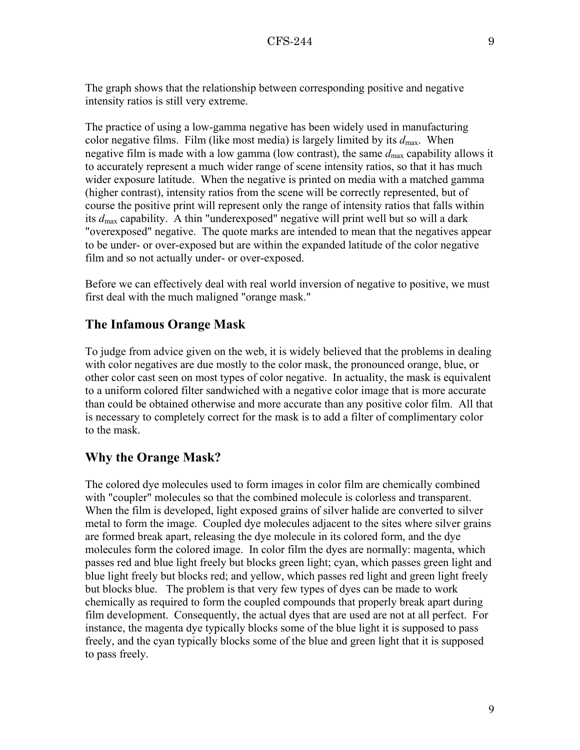The graph shows that the relationship between corresponding positive and negative intensity ratios is still very extreme.

The practice of using a low-gamma negative has been widely used in manufacturing color negative films. Film (like most media) is largely limited by its  $d_{\text{max}}$ . When negative film is made with a low gamma (low contrast), the same  $d_{\text{max}}$  capability allows it to accurately represent a much wider range of scene intensity ratios, so that it has much wider exposure latitude. When the negative is printed on media with a matched gamma (higher contrast), intensity ratios from the scene will be correctly represented, but of course the positive print will represent only the range of intensity ratios that falls within its *d*max capability. A thin "underexposed" negative will print well but so will a dark "overexposed" negative. The quote marks are intended to mean that the negatives appear to be under- or over-exposed but are within the expanded latitude of the color negative film and so not actually under- or over-exposed.

Before we can effectively deal with real world inversion of negative to positive, we must first deal with the much maligned "orange mask."

# **The Infamous Orange Mask**

To judge from advice given on the web, it is widely believed that the problems in dealing with color negatives are due mostly to the color mask, the pronounced orange, blue, or other color cast seen on most types of color negative. In actuality, the mask is equivalent to a uniform colored filter sandwiched with a negative color image that is more accurate than could be obtained otherwise and more accurate than any positive color film. All that is necessary to completely correct for the mask is to add a filter of complimentary color to the mask.

# **Why the Orange Mask?**

The colored dye molecules used to form images in color film are chemically combined with "coupler" molecules so that the combined molecule is colorless and transparent. When the film is developed, light exposed grains of silver halide are converted to silver metal to form the image. Coupled dye molecules adjacent to the sites where silver grains are formed break apart, releasing the dye molecule in its colored form, and the dye molecules form the colored image. In color film the dyes are normally: magenta, which passes red and blue light freely but blocks green light; cyan, which passes green light and blue light freely but blocks red; and yellow, which passes red light and green light freely but blocks blue. The problem is that very few types of dyes can be made to work chemically as required to form the coupled compounds that properly break apart during film development. Consequently, the actual dyes that are used are not at all perfect. For instance, the magenta dye typically blocks some of the blue light it is supposed to pass freely, and the cyan typically blocks some of the blue and green light that it is supposed to pass freely.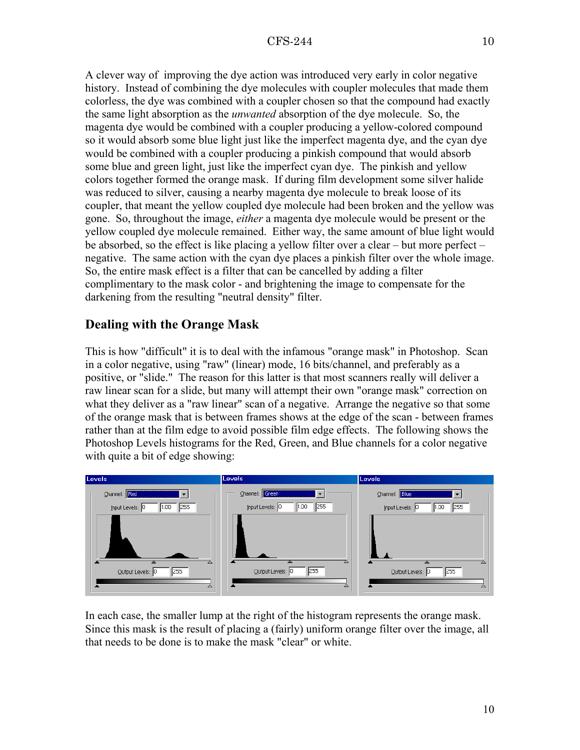A clever way of improving the dye action was introduced very early in color negative history. Instead of combining the dye molecules with coupler molecules that made them colorless, the dye was combined with a coupler chosen so that the compound had exactly the same light absorption as the *unwanted* absorption of the dye molecule. So, the magenta dye would be combined with a coupler producing a yellow-colored compound so it would absorb some blue light just like the imperfect magenta dye, and the cyan dye would be combined with a coupler producing a pinkish compound that would absorb some blue and green light, just like the imperfect cyan dye. The pinkish and yellow colors together formed the orange mask. If during film development some silver halide was reduced to silver, causing a nearby magenta dye molecule to break loose of its coupler, that meant the yellow coupled dye molecule had been broken and the yellow was gone. So, throughout the image, *either* a magenta dye molecule would be present or the yellow coupled dye molecule remained. Either way, the same amount of blue light would be absorbed, so the effect is like placing a yellow filter over a clear  $-$  but more perfect  $$ negative. The same action with the cyan dye places a pinkish filter over the whole image. So, the entire mask effect is a filter that can be cancelled by adding a filter complimentary to the mask color - and brightening the image to compensate for the darkening from the resulting "neutral density" filter.

# **Dealing with the Orange Mask**

This is how "difficult" it is to deal with the infamous "orange mask" in Photoshop. Scan in a color negative, using "raw" (linear) mode, 16 bits/channel, and preferably as a positive, or "slide." The reason for this latter is that most scanners really will deliver a raw linear scan for a slide, but many will attempt their own "orange mask" correction on what they deliver as a "raw linear" scan of a negative. Arrange the negative so that some of the orange mask that is between frames shows at the edge of the scan - between frames rather than at the film edge to avoid possible film edge effects. The following shows the Photoshop Levels histograms for the Red, Green, and Blue channels for a color negative with quite a bit of edge showing:



In each case, the smaller lump at the right of the histogram represents the orange mask. Since this mask is the result of placing a (fairly) uniform orange filter over the image, all that needs to be done is to make the mask "clear" or white.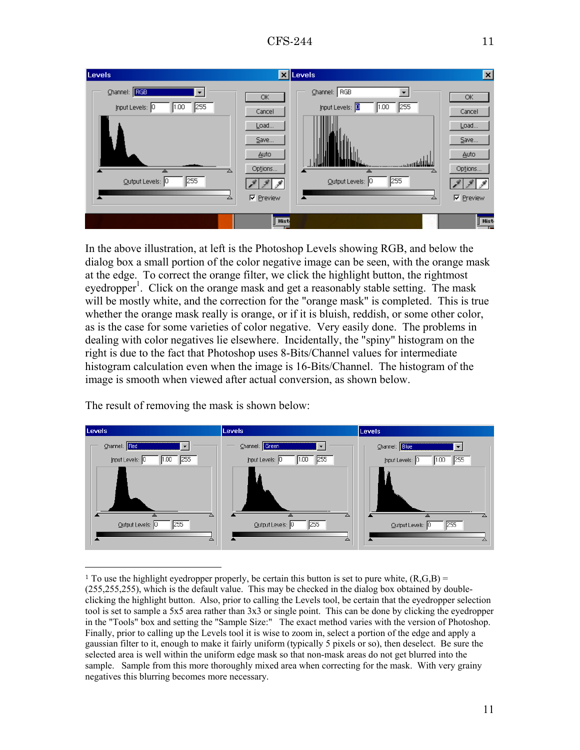| Levels                                                                                                | <b>X</b> Levels                                                                                                                                                                                      | $\vert x \vert$                                                               |
|-------------------------------------------------------------------------------------------------------|------------------------------------------------------------------------------------------------------------------------------------------------------------------------------------------------------|-------------------------------------------------------------------------------|
| Channel: RGB<br>$\vert \cdot \vert$<br>255<br>Input Levels: 0<br>1.00<br>255<br>Output Levels: 0<br>△ | Channel: RGB<br>$\blacktriangledown$<br>ОК<br>255<br>Input Levels: 3<br> 1.00<br>Cancel<br>Load<br>Save<br>Auto<br>المالة للساء بربيب<br>Options<br>255<br>Output Levels: 0<br>$\nabla$ Preview<br>▴ | OK<br>Cancel<br>Load<br>Save<br>Auto<br>Options<br>△<br>$\nabla$ Preview<br>△ |
|                                                                                                       | <b>Hist</b>                                                                                                                                                                                          | <b>Hist</b><br>┲                                                              |

In the above illustration, at left is the Photoshop Levels showing RGB, and below the dialog box a small portion of the color negative image can be seen, with the orange mask at the edge. To correct the orange filter, we click the highlight button, the rightmost eyedropper<sup>1</sup>. Click on the orange mask and get a reasonably stable setting. The mask will be mostly white, and the correction for the "orange mask" is completed. This is true whether the orange mask really is orange, or if it is bluish, reddish, or some other color, as is the case for some varieties of color negative. Very easily done. The problems in dealing with color negatives lie elsewhere. Incidentally, the "spiny" histogram on the right is due to the fact that Photoshop uses 8-Bits/Channel values for intermediate histogram calculation even when the image is 16-Bits/Channel. The histogram of the image is smooth when viewed after actual conversion, as shown below.

The result of removing the mask is shown below:

 $\overline{a}$ 



<sup>&</sup>lt;sup>1</sup> To use the highlight eyedropper properly, be certain this button is set to pure white,  $(R, G, B)$  = (255,255,255), which is the default value. This may be checked in the dialog box obtained by doubleclicking the highlight button. Also, prior to calling the Levels tool, be certain that the eyedropper selection tool is set to sample a 5x5 area rather than 3x3 or single point. This can be done by clicking the eyedropper in the "Tools" box and setting the "Sample Size:" The exact method varies with the version of Photoshop. Finally, prior to calling up the Levels tool it is wise to zoom in, select a portion of the edge and apply a gaussian filter to it, enough to make it fairly uniform (typically 5 pixels or so), then deselect. Be sure the selected area is well within the uniform edge mask so that non-mask areas do not get blurred into the sample. Sample from this more thoroughly mixed area when correcting for the mask. With very grainy negatives this blurring becomes more necessary.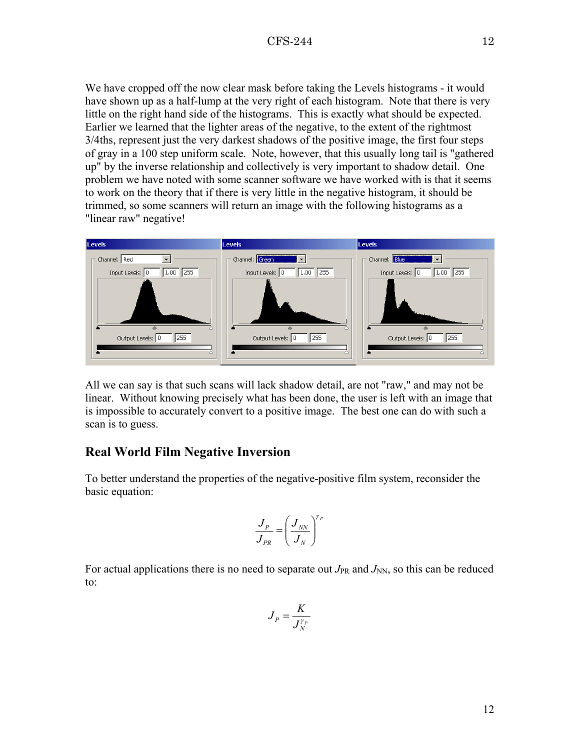We have cropped off the now clear mask before taking the Levels histograms - it would have shown up as a half-lump at the very right of each histogram. Note that there is very little on the right hand side of the histograms. This is exactly what should be expected. Earlier we learned that the lighter areas of the negative, to the extent of the rightmost 3/4ths, represent just the very darkest shadows of the positive image, the first four steps of gray in a 100 step uniform scale. Note, however, that this usually long tail is "gathered up" by the inverse relationship and collectively is very important to shadow detail. One problem we have noted with some scanner software we have worked with is that it seems to work on the theory that if there is very little in the negative histogram, it should be trimmed, so some scanners will return an image with the following histograms as a "linear raw" negative!



All we can say is that such scans will lack shadow detail, are not "raw," and may not be linear. Without knowing precisely what has been done, the user is left with an image that is impossible to accurately convert to a positive image. The best one can do with such a scan is to guess.

# **Real World Film Negative Inversion**

To better understand the properties of the negative-positive film system, reconsider the basic equation:

$$
\frac{J_{P}}{J_{PR}} = \left(\frac{J_{N\!N}}{J_{N}}\right)^{\!\gamma_{P}}
$$

For actual applications there is no need to separate out  $J_{PR}$  and  $J_{NN}$ , so this can be reduced to:

$$
\boldsymbol{J}_{P}=\frac{\boldsymbol{K}}{\boldsymbol{J}_{N}^{\gamma_{P}}}
$$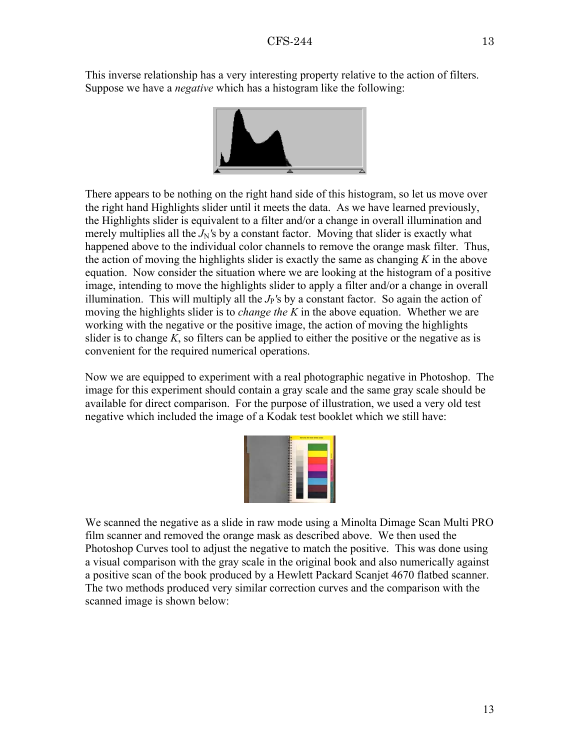This inverse relationship has a very interesting property relative to the action of filters. Suppose we have a *negative* which has a histogram like the following:



There appears to be nothing on the right hand side of this histogram, so let us move over the right hand Highlights slider until it meets the data. As we have learned previously, the Highlights slider is equivalent to a filter and/or a change in overall illumination and merely multiplies all the  $J_N$ 's by a constant factor. Moving that slider is exactly what happened above to the individual color channels to remove the orange mask filter. Thus, the action of moving the highlights slider is exactly the same as changing *K* in the above equation. Now consider the situation where we are looking at the histogram of a positive image, intending to move the highlights slider to apply a filter and/or a change in overall illumination. This will multiply all the  $J_P$ 's by a constant factor. So again the action of moving the highlights slider is to *change the K* in the above equation. Whether we are working with the negative or the positive image, the action of moving the highlights slider is to change  $K$ , so filters can be applied to either the positive or the negative as is convenient for the required numerical operations.

Now we are equipped to experiment with a real photographic negative in Photoshop. The image for this experiment should contain a gray scale and the same gray scale should be available for direct comparison. For the purpose of illustration, we used a very old test negative which included the image of a Kodak test booklet which we still have:

We scanned the negative as a slide in raw mode using a Minolta Dimage Scan Multi PRO film scanner and removed the orange mask as described above. We then used the Photoshop Curves tool to adjust the negative to match the positive. This was done using a visual comparison with the gray scale in the original book and also numerically against a positive scan of the book produced by a Hewlett Packard Scanjet 4670 flatbed scanner. The two methods produced very similar correction curves and the comparison with the scanned image is shown below: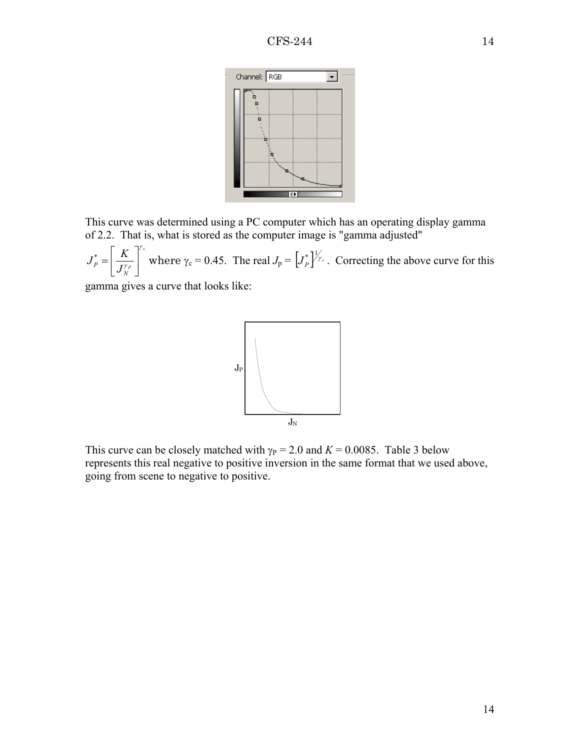

This curve was determined using a PC computer which has an operating display gamma of 2.2. That is, what is stored as the computer image is "gamma adjusted"

*c*  $P = \left[ \frac{\overline{J}^{\gamma} P}{J^{\gamma} N} \right]$  $J_P^* = \left[\frac{K}{\sigma_Y}\right]^\gamma$  $\frac{1}{\gamma_P}$  $\rfloor$  $\left|\frac{K}{I^{\gamma_P}}\right|$ L  $\gamma_p = \left| \frac{K}{I^{\gamma_p}} \right|^{\epsilon}$  where  $\gamma_c = 0.45$ . The real  $J_p = \left[ J_p^* \right]^{1/\gamma_c}$ . Correcting the above curve for this

gamma gives a curve that looks like:



This curve can be closely matched with  $\gamma_P = 2.0$  and  $K = 0.0085$ . Table 3 below represents this real negative to positive inversion in the same format that we used above, going from scene to negative to positive.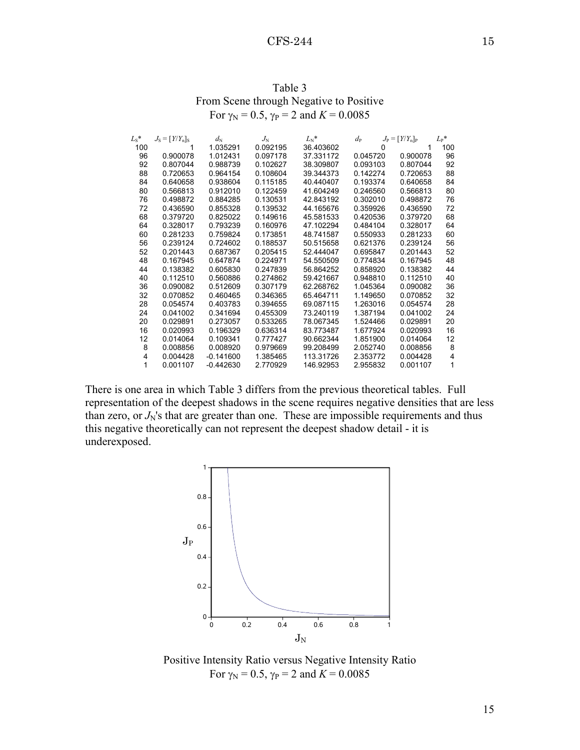| Table 3                                                |
|--------------------------------------------------------|
| From Scene through Negative to Positive                |
| For $\gamma_N = 0.5$ , $\gamma_P = 2$ and $K = 0.0085$ |

| $L_{\rm S}$ * | $J_{\rm S} = [Y/Y_{\rm n}]_{\rm S}$ | $d_N$       | $J_{\rm N}$ | $L_{\rm N}$ * | $d_{\rm P}$ | $J_{\rm P} = [Y/Y_{\rm n}]_{\rm P}$ | $L_{\rm P}$ *  |
|---------------|-------------------------------------|-------------|-------------|---------------|-------------|-------------------------------------|----------------|
| 100           | 1                                   | 1.035291    | 0.092195    | 36.403602     | 0           |                                     | 100            |
| 96            | 0.900078                            | 1.012431    | 0.097178    | 37.331172     | 0.045720    | 0.900078                            | 96             |
| 92            | 0.807044                            | 0.988739    | 0.102627    | 38.309807     | 0.093103    | 0.807044                            | 92             |
| 88            | 0.720653                            | 0.964154    | 0.108604    | 39.344373     | 0.142274    | 0.720653                            | 88             |
| 84            | 0.640658                            | 0.938604    | 0.115185    | 40.440407     | 0.193374    | 0.640658                            | 84             |
| 80            | 0.566813                            | 0.912010    | 0.122459    | 41.604249     | 0.246560    | 0.566813                            | 80             |
| 76            | 0.498872                            | 0.884285    | 0.130531    | 42.843192     | 0.302010    | 0.498872                            | 76             |
| 72            | 0.436590                            | 0.855328    | 0.139532    | 44.165676     | 0.359926    | 0.436590                            | 72             |
| 68            | 0.379720                            | 0.825022    | 0.149616    | 45.581533     | 0.420536    | 0.379720                            | 68             |
| 64            | 0.328017                            | 0.793239    | 0.160976    | 47.102294     | 0.484104    | 0.328017                            | 64             |
| 60            | 0.281233                            | 0.759824    | 0.173851    | 48.741587     | 0.550933    | 0.281233                            | 60             |
| 56            | 0.239124                            | 0.724602    | 0.188537    | 50.515658     | 0.621376    | 0.239124                            | 56             |
| 52            | 0.201443                            | 0.687367    | 0.205415    | 52.444047     | 0.695847    | 0.201443                            | 52             |
| 48            | 0.167945                            | 0.647874    | 0.224971    | 54.550509     | 0.774834    | 0.167945                            | 48             |
| 44            | 0.138382                            | 0.605830    | 0.247839    | 56.864252     | 0.858920    | 0.138382                            | 44             |
| 40            | 0.112510                            | 0.560886    | 0.274862    | 59.421667     | 0.948810    | 0.112510                            | 40             |
| 36            | 0.090082                            | 0.512609    | 0.307179    | 62.268762     | 1.045364    | 0.090082                            | 36             |
| 32            | 0.070852                            | 0.460465    | 0.346365    | 65.464711     | 1.149650    | 0.070852                            | 32             |
| 28            | 0.054574                            | 0.403783    | 0.394655    | 69.087115     | 1.263016    | 0.054574                            | 28             |
| 24            | 0.041002                            | 0.341694    | 0.455309    | 73.240119     | 1.387194    | 0.041002                            | 24             |
| 20            | 0.029891                            | 0.273057    | 0.533265    | 78.067345     | 1.524466    | 0.029891                            | 20             |
| 16            | 0.020993                            | 0.196329    | 0.636314    | 83.773487     | 1.677924    | 0.020993                            | 16             |
| 12            | 0.014064                            | 0.109341    | 0.777427    | 90.662344     | 1.851900    | 0.014064                            | 12             |
| 8             | 0.008856                            | 0.008920    | 0.979669    | 99.208499     | 2.052740    | 0.008856                            | 8              |
| 4             | 0.004428                            | $-0.141600$ | 1.385465    | 113.31726     | 2.353772    | 0.004428                            | $\overline{4}$ |
| 1             | 0.001107                            | $-0.442630$ | 2.770929    | 146.92953     | 2.955832    | 0.001107                            | 1              |
|               |                                     |             |             |               |             |                                     |                |

There is one area in which Table 3 differs from the previous theoretical tables. Full representation of the deepest shadows in the scene requires negative densities that are less than zero, or  $J_N$ 's that are greater than one. These are impossible requirements and thus this negative theoretically can not represent the deepest shadow detail - it is underexposed.



Positive Intensity Ratio versus Negative Intensity Ratio For  $\gamma_N = 0.5$ ,  $\gamma_P = 2$  and  $K = 0.0085$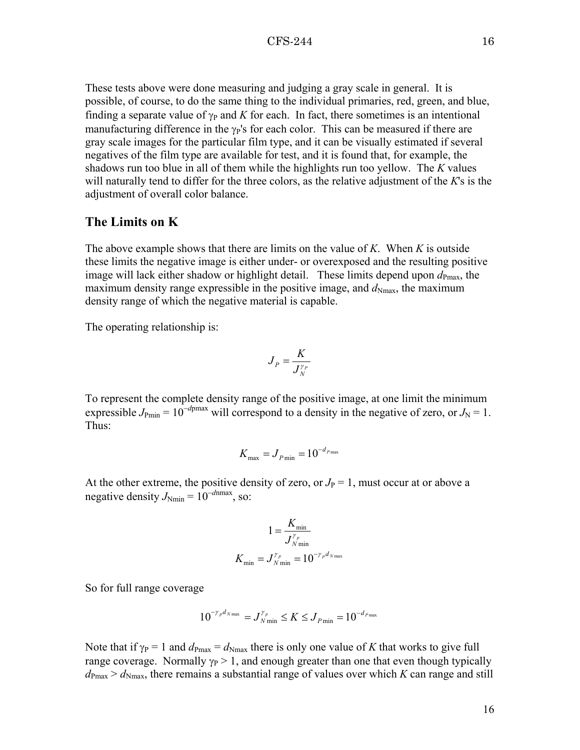These tests above were done measuring and judging a gray scale in general. It is possible, of course, to do the same thing to the individual primaries, red, green, and blue, finding a separate value of  $\gamma_P$  and *K* for each. In fact, there sometimes is an intentional manufacturing difference in the  $\gamma_P$ 's for each color. This can be measured if there are gray scale images for the particular film type, and it can be visually estimated if several negatives of the film type are available for test, and it is found that, for example, the shadows run too blue in all of them while the highlights run too yellow. The *K* values will naturally tend to differ for the three colors, as the relative adjustment of the *K*'s is the adjustment of overall color balance.

### **The Limits on K**

The above example shows that there are limits on the value of *K*. When *K* is outside these limits the negative image is either under- or overexposed and the resulting positive image will lack either shadow or highlight detail. These limits depend upon  $d_{Pmax}$ , the maximum density range expressible in the positive image, and  $d_{Nmax}$ , the maximum density range of which the negative material is capable.

The operating relationship is:

$$
\boldsymbol{J}_P = \frac{\boldsymbol{K}}{\boldsymbol{J}_N^{\gamma_P}}
$$

To represent the complete density range of the positive image, at one limit the minimum expressible  $J_{\text{Pmin}} = 10^{-d_{\text{Pmax}}}$  will correspond to a density in the negative of zero, or  $J_{\text{N}} = 1$ . Thus:

$$
K_{\text{max}} = J_{P \text{min}} = 10^{-d_{P \text{max}}}
$$

At the other extreme, the positive density of zero, or  $J_P = 1$ , must occur at or above a negative density  $J_{\text{Nmin}} = 10^{-d \text{inmax}}$ , so:

$$
1 = \frac{K_{\min}}{J_{N \min}^{\gamma_p}}
$$
  

$$
K_{\min} = J_{N \min}^{\gamma_p} = 10^{-\gamma_p d_{N \max}}
$$

So for full range coverage

$$
10^{-\gamma_p d_{N\max}} = J_{N\min}^{\gamma_p} \le K \le J_{P\min} = 10^{-d_{P\max}}
$$

Note that if  $\gamma_P = 1$  and  $d_{Pmax} = d_{Nmax}$  there is only one value of *K* that works to give full range coverage. Normally  $\gamma_P > 1$ , and enough greater than one that even though typically  $d_{\text{Pmax}} > d_{\text{Nmax}}$ , there remains a substantial range of values over which *K* can range and still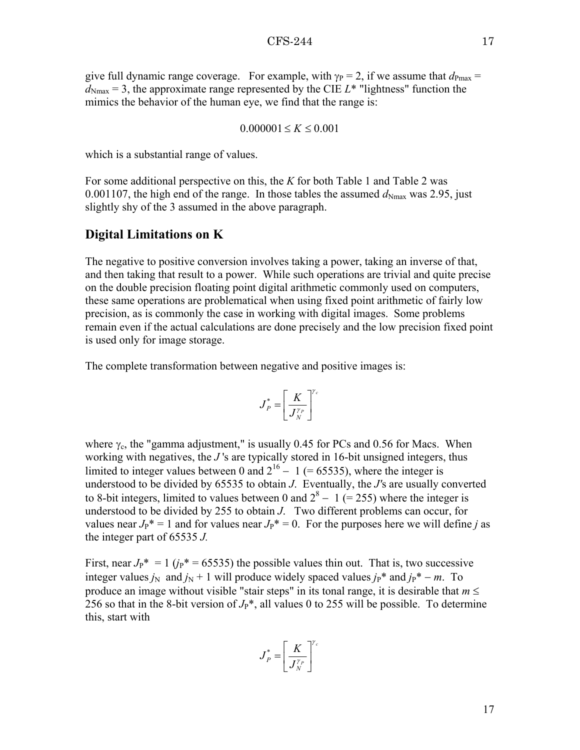give full dynamic range coverage. For example, with  $\gamma_P = 2$ , if we assume that  $d_{Pmax} =$  $d_{Nmax} = 3$ , the approximate range represented by the CIE  $L^*$  "lightness" function the mimics the behavior of the human eye, we find that the range is:

$$
0.000001 \leq K \leq 0.001
$$

which is a substantial range of values.

For some additional perspective on this, the *K* for both Table 1 and Table 2 was 0.001107, the high end of the range. In those tables the assumed  $d_{\text{Nmax}}$  was 2.95, just slightly shy of the 3 assumed in the above paragraph.

### **Digital Limitations on K**

The negative to positive conversion involves taking a power, taking an inverse of that, and then taking that result to a power. While such operations are trivial and quite precise on the double precision floating point digital arithmetic commonly used on computers, these same operations are problematical when using fixed point arithmetic of fairly low precision, as is commonly the case in working with digital images. Some problems remain even if the actual calculations are done precisely and the low precision fixed point is used only for image storage.

The complete transformation between negative and positive images is:

$$
\boldsymbol{J}^{\ast}_{P}=\hspace{-0.1cm}\left[\frac{K}{\boldsymbol{J}^{\gamma_{P}}_{N}}\right]^{\hspace{-0.1cm}\gamma_{c}}
$$

where  $\gamma_c$ , the "gamma adjustment," is usually 0.45 for PCs and 0.56 for Macs. When working with negatives, the *J* 's are typically stored in 16-bit unsigned integers, thus limited to integer values between 0 and  $2^{16} - 1$  (= 65535), where the integer is understood to be divided by 65535 to obtain *J*. Eventually, the *J'*s are usually converted to 8-bit integers, limited to values between 0 and  $2^8 - 1$  (= 255) where the integer is understood to be divided by 255 to obtain *J*. Two different problems can occur, for values near  $J_P^* = 1$  and for values near  $J_P^* = 0$ . For the purposes here we will define *j* as the integer part of 65535 *J.*

First, near  $J_P^* = 1$  ( $j_P^* = 65535$ ) the possible values thin out. That is, two successive integer values *j*<sub>N</sub> and *j*<sub>N</sub> + 1 will produce widely spaced values *j*<sup>\*</sup> and *j*<sup>\*</sup> − *m*. To produce an image without visible "stair steps" in its tonal range, it is desirable that  $m \leq$ 256 so that in the 8-bit version of  $J_P^*$ , all values 0 to 255 will be possible. To determine this, start with

$$
\boldsymbol{J}_P^*=\!\left[\frac{\boldsymbol{K}}{\boldsymbol{J}_N^{\gamma_P}}\right]^{\!\gamma}
$$

*c*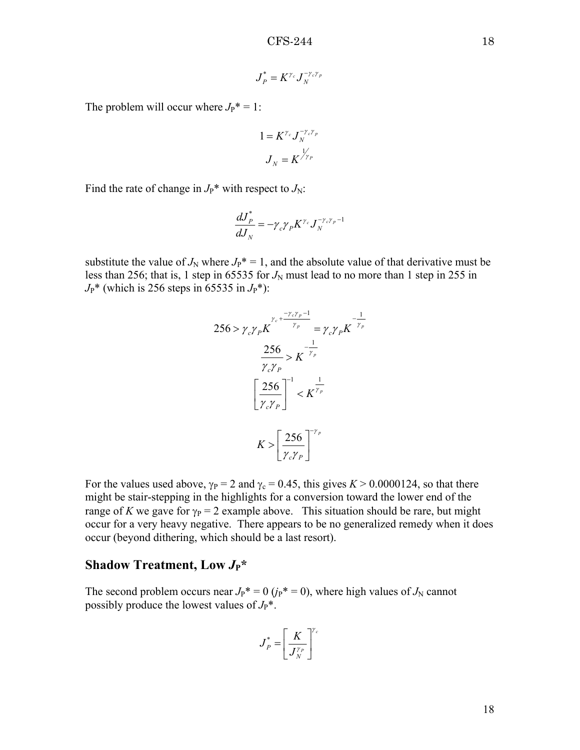$$
J_P^* = K^{\gamma_c} J_N^{-\gamma_c \gamma_p}
$$

The problem will occur where  $J_P^* = 1$ :

$$
1 = K^{\gamma_c} J_N^{-\gamma_c \gamma_p}
$$

$$
J_N = K^{\frac{1}{\gamma_p}}
$$

Find the rate of change in  $J_P^*$  with respect to  $J_N$ :

$$
\frac{dJ^*_P}{dJ_{_N}}\!=\!-\!\gamma_{_C}\!\gamma_{_P} K^{\gamma_{_C}} J_{_N}^{-\gamma_{_C}\!\gamma_{_P}-1}
$$

substitute the value of  $J_N$  where  $J_P^* = 1$ , and the absolute value of that derivative must be less than 256; that is, 1 step in 65535 for  $J_N$  must lead to no more than 1 step in 255 in  $J_P^*$  (which is 256 steps in 65535 in  $J_P^*$ ):

$$
256 > \gamma_c \gamma_p K^{\frac{\gamma_c + \frac{-\gamma_c \gamma_p - 1}{\gamma_p}}{\gamma_c}} = \gamma_c \gamma_p K^{\frac{-\frac{1}{\gamma_p}}{\gamma_p}}
$$

$$
\left[\frac{256}{\gamma_c \gamma_p}\right]^{-1} < K^{\frac{1}{\gamma_p}}
$$

$$
K > \left[\frac{256}{\gamma_c \gamma_p}\right]^{-\gamma_p}
$$

For the values used above,  $\gamma_P = 2$  and  $\gamma_c = 0.45$ , this gives  $K > 0.0000124$ , so that there might be stair-stepping in the highlights for a conversion toward the lower end of the range of *K* we gave for  $\gamma_P = 2$  example above. This situation should be rare, but might occur for a very heavy negative. There appears to be no generalized remedy when it does occur (beyond dithering, which should be a last resort).

# **Shadow Treatment, Low**  $J_P^*$

The second problem occurs near  $J_P^* = 0$  ( $j_P^* = 0$ ), where high values of  $J_N$  cannot possibly produce the lowest values of  $J_P^*$ .

$$
\boldsymbol{J}_P^* = \left[ \frac{K}{J_N^{\gamma_P}} \right]^{\gamma_c}
$$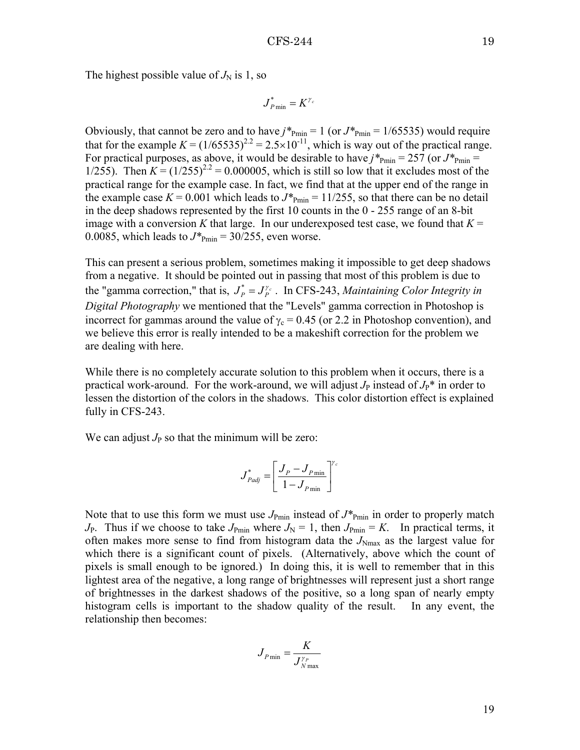The highest possible value of  $J_N$  is 1, so

$$
\boldsymbol{J}^*_{P\min} = \boldsymbol{K}^{\gamma_c}
$$

Obviously, that cannot be zero and to have  $j^*_{\text{Pmin}} = 1$  (or  $J^*_{\text{Pmin}} = 1/65535$ ) would require that for the example  $K = (1/65535)^{2.2} = 2.5 \times 10^{-11}$ , which is way out of the practical range. For practical purposes, as above, it would be desirable to have  $j^*_{\text{Pmin}} = 257$  (or  $J^*_{\text{Pmin}} =$ 1/255). Then  $K = (1/255)^{2.2} = 0.000005$ , which is still so low that it excludes most of the practical range for the example case. In fact, we find that at the upper end of the range in the example case  $K = 0.001$  which leads to  $J^*_{\text{Pmin}} = 11/255$ , so that there can be no detail in the deep shadows represented by the first 10 counts in the 0 - 255 range of an 8-bit image with a conversion *K* that large. In our underexposed test case, we found that  $K =$ 0.0085, which leads to  $J^*_{\text{Pmin}} = 30/255$ , even worse.

This can present a serious problem, sometimes making it impossible to get deep shadows from a negative. It should be pointed out in passing that most of this problem is due to the "gamma correction," that is,  $J_P^* = J_P^{\gamma_c}$ . In CFS-243, *Maintaining Color Integrity in Digital Photography* we mentioned that the "Levels" gamma correction in Photoshop is incorrect for gammas around the value of  $\gamma_c = 0.45$  (or 2.2 in Photoshop convention), and we believe this error is really intended to be a makeshift correction for the problem we are dealing with here.

While there is no completely accurate solution to this problem when it occurs, there is a practical work-around. For the work-around, we will adjust  $J_P$  instead of  $J_P^*$  in order to lessen the distortion of the colors in the shadows. This color distortion effect is explained fully in CFS-243.

We can adjust  $J_P$  so that the minimum will be zero:

$$
J_{\text{Pad}j}^* = \left[ \frac{J_p - J_{\text{P}}}{1 - J_{\text{P}}}
$$

Note that to use this form we must use  $J_{\text{Pmin}}$  instead of  $J^*_{\text{Pmin}}$  in order to properly match  $J_P$ . Thus if we choose to take  $J_{Pmin}$  where  $J_N = 1$ , then  $J_{Pmin} = K$ . In practical terms, it often makes more sense to find from histogram data the  $J_{Nmax}$  as the largest value for which there is a significant count of pixels. (Alternatively, above which the count of pixels is small enough to be ignored.) In doing this, it is well to remember that in this lightest area of the negative, a long range of brightnesses will represent just a short range of brightnesses in the darkest shadows of the positive, so a long span of nearly empty histogram cells is important to the shadow quality of the result. In any event, the relationship then becomes:

$$
J_{P\min} = \frac{K}{J_{N\max}^{\gamma_P}}
$$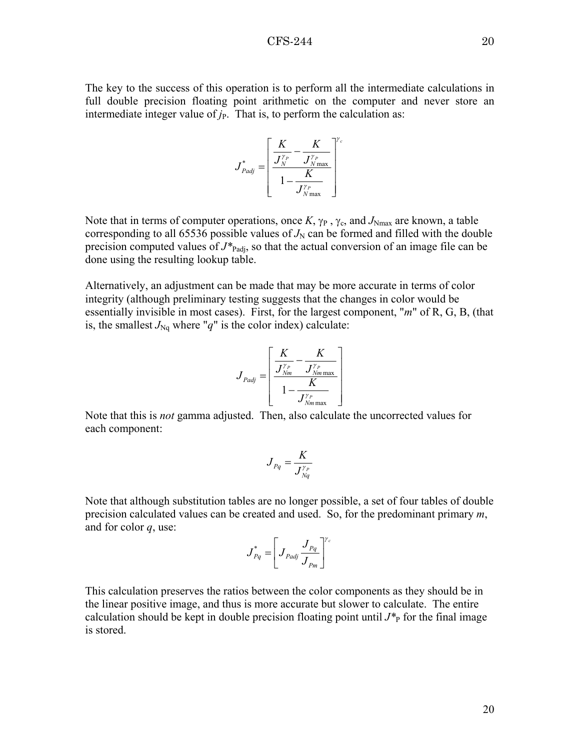The key to the success of this operation is to perform all the intermediate calculations in full double precision floating point arithmetic on the computer and never store an intermediate integer value of  $j<sub>P</sub>$ . That is, to perform the calculation as:

$$
J_{\text{Padj}}^{*} = \left[ \frac{\frac{K}{J_N^{\gamma_P}} - \frac{K}{J_{N \max}^{\gamma_P}}}{1 - \frac{K}{J_{N \max}^{\gamma_P}}} \right]^{\gamma_c}
$$

Note that in terms of computer operations, once  $K$ ,  $\gamma_P$ ,  $\gamma_c$ , and  $J_{Nmax}$  are known, a table corresponding to all 65536 possible values of  $J<sub>N</sub>$  can be formed and filled with the double precision computed values of  $J^*_{\text{Padi}}$ , so that the actual conversion of an image file can be done using the resulting lookup table.

Alternatively, an adjustment can be made that may be more accurate in terms of color integrity (although preliminary testing suggests that the changes in color would be essentially invisible in most cases). First, for the largest component, "*m*" of R, G, B, (that is, the smallest  $J_{Nq}$  where "q" is the color index) calculate:

$$
J_{Padj} = \left[ \frac{\frac{K}{J_{Nm}^{\gamma_P}} - \frac{K}{J_{Nm\max}^{\gamma_P}}}{1 - \frac{K}{J_{Nm\max}^{\gamma_P}}}\right]
$$

Note that this is *not* gamma adjusted. Then, also calculate the uncorrected values for each component:

$$
J_{Pq} = \frac{K}{J_{Nq}^{\gamma_P}}
$$

Note that although substitution tables are no longer possible, a set of four tables of double precision calculated values can be created and used. So, for the predominant primary *m*, and for color *q*, use:

$$
\boldsymbol{J}_{Pq}^{*}=\left[\boldsymbol{J}_{Padj}\frac{\boldsymbol{J}_{Pq}}{\boldsymbol{J}_{Pm}}\right]^{\gamma_{c}}
$$

This calculation preserves the ratios between the color components as they should be in the linear positive image, and thus is more accurate but slower to calculate. The entire calculation should be kept in double precision floating point until  $J^*$ <sub>P</sub> for the final image is stored.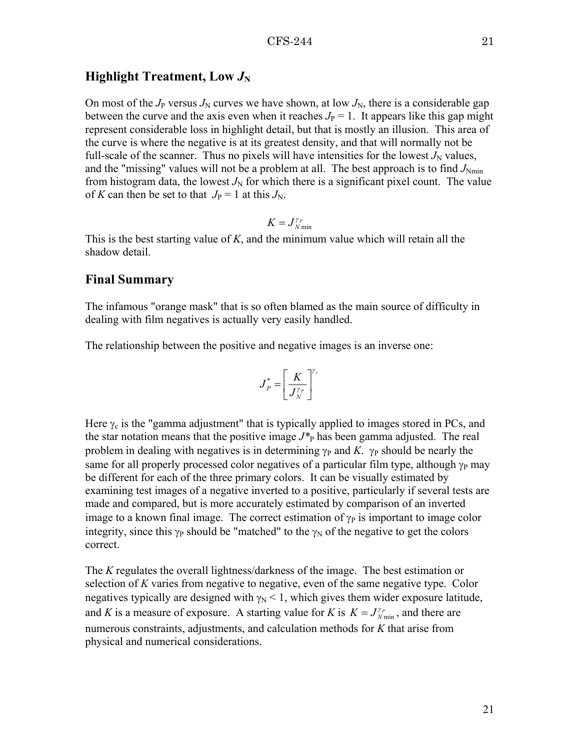### **Highlight Treatment, Low**  $J_N$

On most of the  $J_P$  versus  $J_N$  curves we have shown, at low  $J_N$ , there is a considerable gap between the curve and the axis even when it reaches  $J_P = 1$ . It appears like this gap might represent considerable loss in highlight detail, but that is mostly an illusion. This area of the curve is where the negative is at its greatest density, and that will normally not be full-scale of the scanner. Thus no pixels will have intensities for the lowest  $J_N$  values, and the "missing" values will not be a problem at all. The best approach is to find  $J_{Nmin}$ from histogram data, the lowest  $J_N$  for which there is a significant pixel count. The value of *K* can then be set to that  $J_P = 1$  at this  $J_N$ .

$$
K=J_{N\min}^{\gamma_P}
$$

This is the best starting value of *K*, and the minimum value which will retain all the shadow detail.

### **Final Summary**

The infamous "orange mask" that is so often blamed as the main source of difficulty in dealing with film negatives is actually very easily handled.

The relationship between the positive and negative images is an inverse one:

$$
\boldsymbol{J}_P^*=\!\left[\frac{\boldsymbol{K}}{\boldsymbol{J}_N^{\gamma_P}}\right]^{\!\gamma}
$$

*c*

Here  $\gamma_c$  is the "gamma adjustment" that is typically applied to images stored in PCs, and the star notation means that the positive image  $J^*$ <sup>p</sup> has been gamma adjusted. The real problem in dealing with negatives is in determining  $\gamma_P$  and *K*.  $\gamma_P$  should be nearly the same for all properly processed color negatives of a particular film type, although  $\gamma_P$  may be different for each of the three primary colors. It can be visually estimated by examining test images of a negative inverted to a positive, particularly if several tests are made and compared, but is more accurately estimated by comparison of an inverted image to a known final image. The correct estimation of  $\gamma_P$  is important to image color integrity, since this  $\gamma_P$  should be "matched" to the  $\gamma_N$  of the negative to get the colors correct.

The *K* regulates the overall lightness/darkness of the image. The best estimation or selection of *K* varies from negative to negative, even of the same negative type. Color negatives typically are designed with  $\gamma_N < 1$ , which gives them wider exposure latitude, and *K* is a measure of exposure. A starting value for *K* is  $K = J_{N_{\text{min}}}^{r_p}$ , and there are numerous constraints, adjustments, and calculation methods for *K* that arise from physical and numerical considerations.